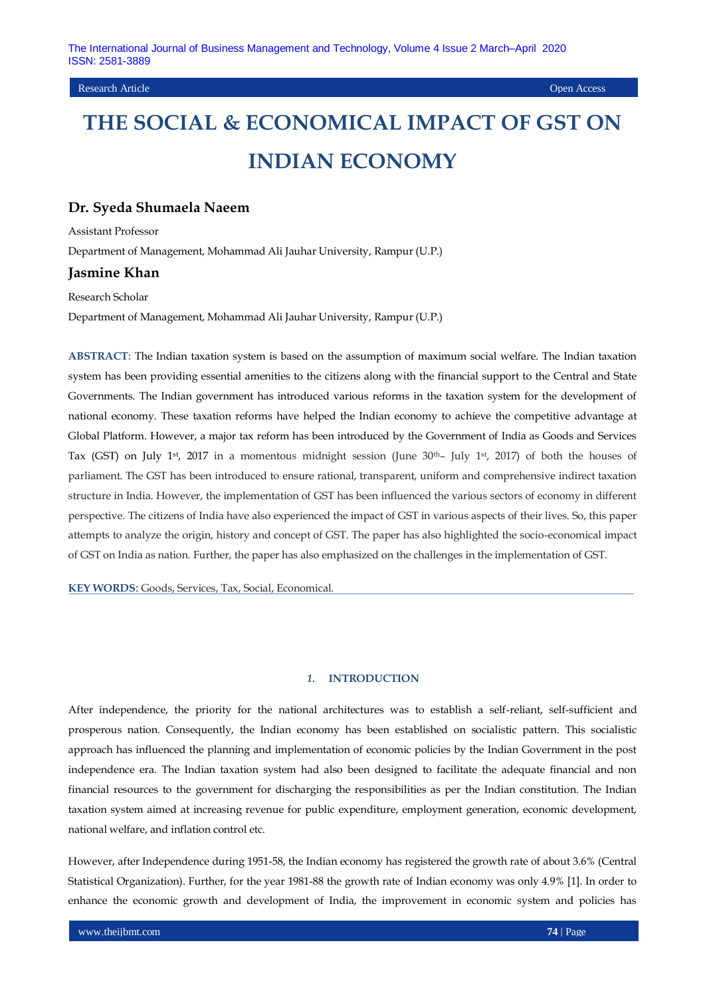## Research Article Open Access

# **THE SOCIAL & ECONOMICAL IMPACT OF GST ON INDIAN ECONOMY**

## **Dr. Syeda Shumaela Naeem**

Assistant Professor

Department of Management, Mohammad Ali Jauhar University, Rampur (U.P.)

# **Jasmine Khan**

Research Scholar

Department of Management, Mohammad Ali Jauhar University, Rampur (U.P.)

**ABSTRACT:** The Indian taxation system is based on the assumption of maximum social welfare. The Indian taxation system has been providing essential amenities to the citizens along with the financial support to the Central and State Governments. The Indian government has introduced various reforms in the taxation system for the development of national economy. These taxation reforms have helped the Indian economy to achieve the competitive advantage at Global Platform. However, a major tax reform has been introduced by the Government of India as Goods and Services Tax (GST) on July 1st, 2017 in a momentous midnight session (June 30th– July 1st, 2017) of both the houses of parliament. The GST has been introduced to ensure rational, transparent, uniform and comprehensive indirect taxation structure in India. However, the implementation of GST has been influenced the various sectors of economy in different perspective. The citizens of India have also experienced the impact of GST in various aspects of their lives. So, this paper attempts to analyze the origin, history and concept of GST. The paper has also highlighted the socio-economical impact of GST on India as nation. Further, the paper has also emphasized on the challenges in the implementation of GST.

**KEY WORDS**: Goods, Services, Tax, Social, Economical.

#### *1.* **INTRODUCTION**

After independence, the priority for the national architectures was to establish a self-reliant, self-sufficient and prosperous nation. Consequently, the Indian economy has been established on socialistic pattern. This socialistic approach has influenced the planning and implementation of economic policies by the Indian Government in the post independence era. The Indian taxation system had also been designed to facilitate the adequate financial and non financial resources to the government for discharging the responsibilities as per the Indian constitution. The Indian taxation system aimed at increasing revenue for public expenditure, employment generation, economic development, national welfare, and inflation control etc.

However, after Independence during 1951-58, the Indian economy has registered the growth rate of about 3.6% (Central Statistical Organization). Further, for the year 1981-88 the growth rate of Indian economy was only 4.9% [1]. In order to enhance the economic growth and development of India, the improvement in economic system and policies has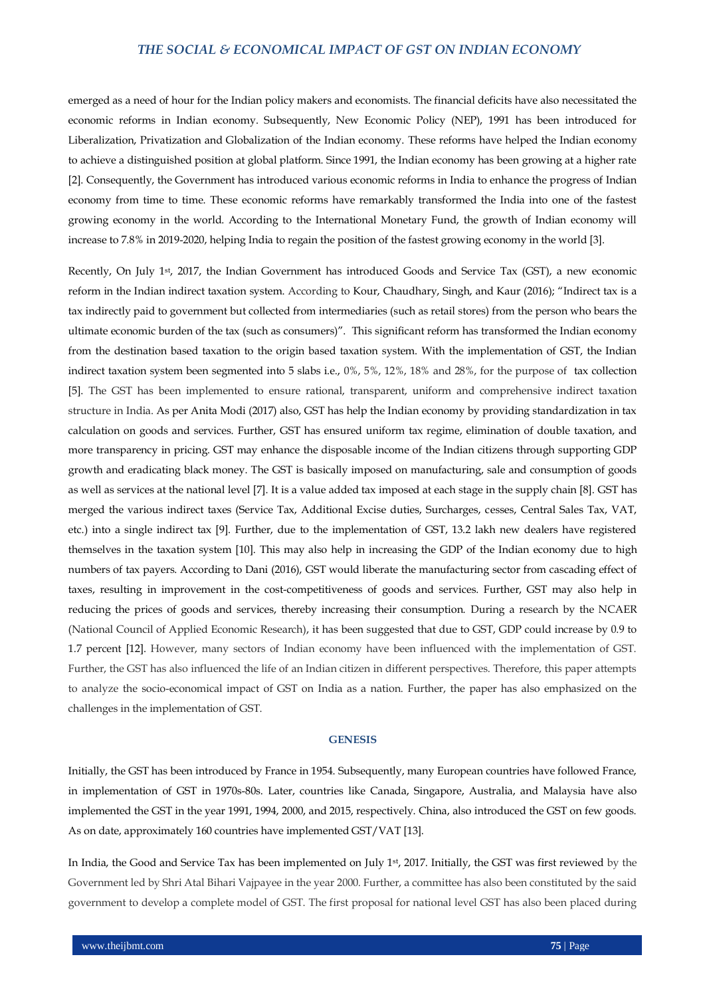emerged as a need of hour for the Indian policy makers and economists. The financial deficits have also necessitated the economic reforms in Indian economy. Subsequently, New Economic Policy (NEP), 1991 has been introduced for Liberalization, Privatization and Globalization of the Indian economy. These reforms have helped the Indian economy to achieve a distinguished position at global platform. Since 1991, the Indian economy has been growing at a higher rate [2]. Consequently, the Government has introduced various economic reforms in India to enhance the progress of Indian economy from time to time. These economic reforms have remarkably transformed the India into one of the fastest growing economy in the world. According to the International Monetary Fund, the growth of Indian economy will increase to 7.8% in 2019-2020, helping India to regain the position of the fastest growing economy in the world [3].

Recently, On July 1st, 2017, the Indian Government has introduced Goods and Service Tax (GST), a new economic reform in the Indian indirect taxation system. According to Kour, Chaudhary, Singh, and Kaur (2016); "Indirect tax is a tax indirectly paid to government but collected from intermediaries (such as retail stores) from the person who bears the ultimate economic burden of the tax (such as consumers)". This significant reform has transformed the Indian economy from the destination based taxation to the origin based taxation system. With the implementation of GST, the Indian indirect taxation system been segmented into 5 slabs i.e., 0%, 5%, 12%, 18% and 28%, for the purpose of tax collection [5]. The GST has been implemented to ensure rational, transparent, uniform and comprehensive indirect taxation structure in India. As per Anita Modi (2017) also, GST has help the Indian economy by providing standardization in tax calculation on goods and services. Further, GST has ensured uniform tax regime, elimination of double taxation, and more transparency in pricing. GST may enhance the disposable income of the Indian citizens through supporting GDP growth and eradicating black money. The GST is basically imposed on manufacturing, sale and consumption of goods as well as services at the national level [7]. It is a value added tax imposed at each stage in the supply chain [8]. GST has merged the various indirect taxes (Service Tax, Additional Excise duties, Surcharges, cesses, Central Sales Tax, VAT, etc.) into a single indirect tax [9]. Further, due to the implementation of GST, 13.2 lakh new dealers have registered themselves in the taxation system [10]. This may also help in increasing the GDP of the Indian economy due to high numbers of tax payers. According to Dani (2016), GST would liberate the manufacturing sector from cascading effect of taxes, resulting in improvement in the cost-competitiveness of goods and services. Further, GST may also help in reducing the prices of goods and services, thereby increasing their consumption. During a research by the NCAER (National Council of Applied Economic Research), it has been suggested that due to GST, GDP could increase by 0.9 to 1.7 percent [12]. However, many sectors of Indian economy have been influenced with the implementation of GST. Further, the GST has also influenced the life of an Indian citizen in different perspectives. Therefore, this paper attempts to analyze the socio-economical impact of GST on India as a nation. Further, the paper has also emphasized on the challenges in the implementation of GST.

#### **GENESIS**

Initially, the GST has been introduced by France in 1954. Subsequently, many European countries have followed France, in implementation of GST in 1970s-80s. Later, countries like Canada, Singapore, Australia, and Malaysia have also implemented the GST in the year 1991, 1994, 2000, and 2015, respectively. China, also introduced the GST on few goods. As on date, approximately 160 countries have implemented GST/VAT [13].

In India, the Good and Service Tax has been implemented on July 1st, 2017. Initially, the GST was first reviewed by the Government led by Shri Atal Bihari Vajpayee in the year 2000. Further, a committee has also been constituted by the said government to develop a complete model of GST. The first proposal for national level GST has also been placed during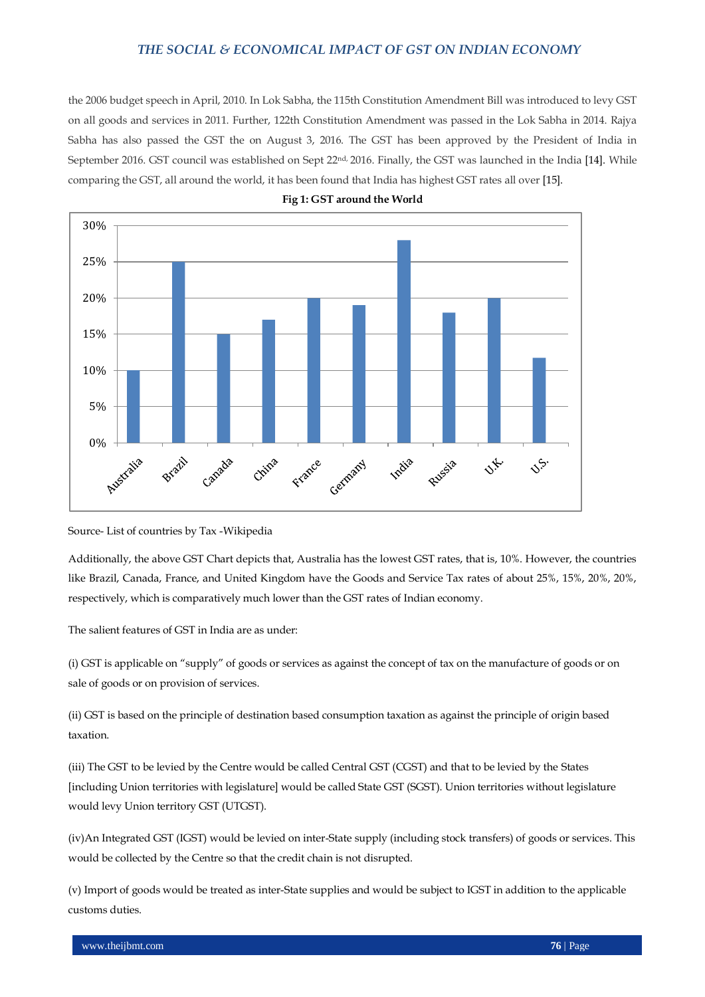the 2006 budget speech in April, 2010. In Lok Sabha, the 115th Constitution Amendment Bill was introduced to levy GST on all goods and services in 2011. Further, 122th Constitution Amendment was passed in the Lok Sabha in 2014. Rajya Sabha has also passed the GST the on August 3, 2016. The GST has been approved by the President of India in September 2016. GST council was established on Sept 22nd, 2016. Finally, the GST was launched in the India [14]. While comparing the GST, all around the world, it has been found that India has highest GST rates all over [15].



**Fig 1: GST around the World**

Source- List of countries by Tax -Wikipedia

Additionally, the above GST Chart depicts that, Australia has the lowest GST rates, that is, 10%. However, the countries like Brazil, Canada, France, and United Kingdom have the Goods and Service Tax rates of about 25%, 15%, 20%, 20%, respectively, which is comparatively much lower than the GST rates of Indian economy.

The salient features of GST in India are as under:

(i) GST is applicable on "supply" of goods or services as against the concept of tax on the manufacture of goods or on sale of goods or on provision of services.

(ii) GST is based on the principle of destination based consumption taxation as against the principle of origin based taxation.

(iii) The GST to be levied by the Centre would be called Central GST (CGST) and that to be levied by the States [including Union territories with legislature] would be called State GST (SGST). Union territories without legislature would levy Union territory GST (UTGST).

(iv)An Integrated GST (IGST) would be levied on inter-State supply (including stock transfers) of goods or services. This would be collected by the Centre so that the credit chain is not disrupted.

(v) Import of goods would be treated as inter-State supplies and would be subject to IGST in addition to the applicable customs duties.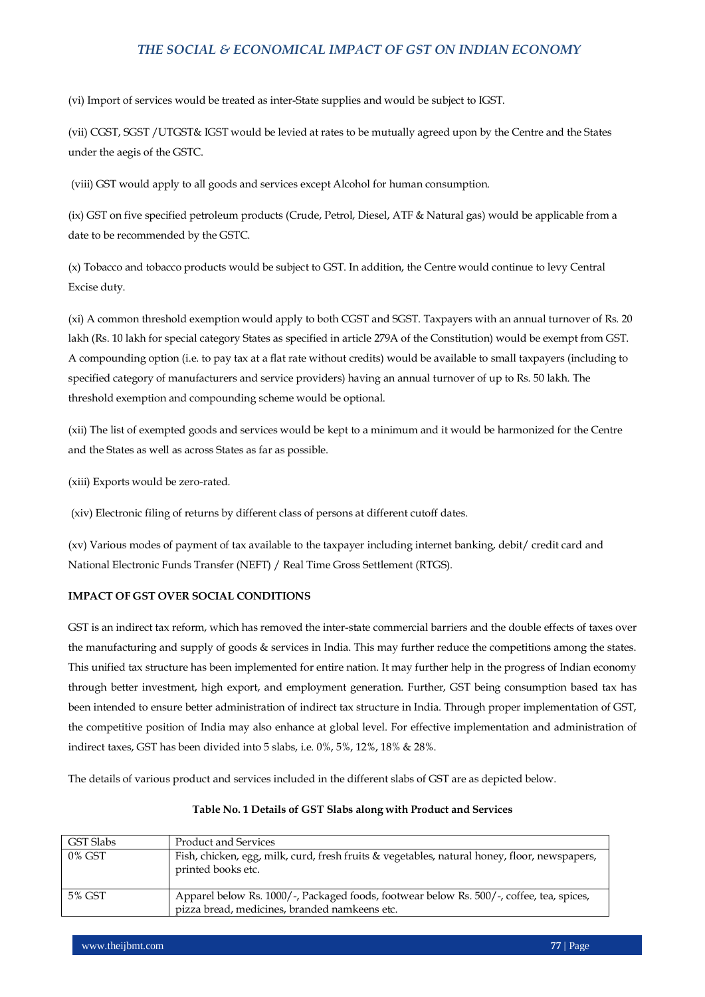(vi) Import of services would be treated as inter-State supplies and would be subject to IGST.

(vii) CGST, SGST /UTGST& IGST would be levied at rates to be mutually agreed upon by the Centre and the States under the aegis of the GSTC.

(viii) GST would apply to all goods and services except Alcohol for human consumption.

(ix) GST on five specified petroleum products (Crude, Petrol, Diesel, ATF & Natural gas) would be applicable from a date to be recommended by the GSTC.

(x) Tobacco and tobacco products would be subject to GST. In addition, the Centre would continue to levy Central Excise duty.

(xi) A common threshold exemption would apply to both CGST and SGST. Taxpayers with an annual turnover of Rs. 20 lakh (Rs. 10 lakh for special category States as specified in article 279A of the Constitution) would be exempt from GST. A compounding option (i.e. to pay tax at a flat rate without credits) would be available to small taxpayers (including to specified category of manufacturers and service providers) having an annual turnover of up to Rs. 50 lakh. The threshold exemption and compounding scheme would be optional.

(xii) The list of exempted goods and services would be kept to a minimum and it would be harmonized for the Centre and the States as well as across States as far as possible.

(xiii) Exports would be zero-rated.

(xiv) Electronic filing of returns by different class of persons at different cutoff dates.

(xv) Various modes of payment of tax available to the taxpayer including internet banking, debit/ credit card and National Electronic Funds Transfer (NEFT) / Real Time Gross Settlement (RTGS).

# **IMPACT OF GST OVER SOCIAL CONDITIONS**

GST is an indirect tax reform, which has removed the inter-state commercial barriers and the double effects of taxes over the manufacturing and supply of goods & services in India. This may further reduce the competitions among the states. This unified tax structure has been implemented for entire nation. It may further help in the progress of Indian economy through better investment, high export, and employment generation. Further, GST being consumption based tax has been intended to ensure better administration of indirect tax structure in India. Through proper implementation of GST, the competitive position of India may also enhance at global level. For effective implementation and administration of indirect taxes, GST has been divided into 5 slabs, i.e. 0%, 5%, 12%, 18% & 28%.

The details of various product and services included in the different slabs of GST are as depicted below.

| GST Slabs | <b>Product and Services</b>                                                                                                               |
|-----------|-------------------------------------------------------------------------------------------------------------------------------------------|
| $0\%$ GST | Fish, chicken, egg, milk, curd, fresh fruits & vegetables, natural honey, floor, newspapers,<br>printed books etc.                        |
| 5% GST    | Apparel below Rs. 1000/-, Packaged foods, footwear below Rs. 500/-, coffee, tea, spices,<br>pizza bread, medicines, branded namkeens etc. |

# **Table No. 1 Details of GST Slabs along with Product and Services**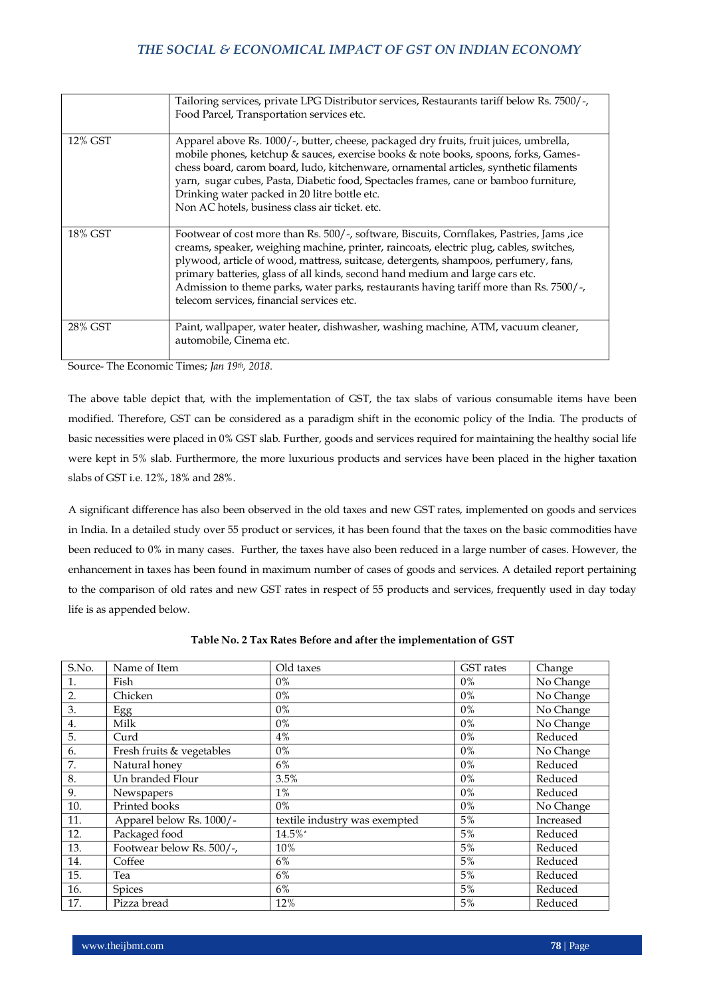|         | Tailoring services, private LPG Distributor services, Restaurants tariff below Rs. 7500/-,<br>Food Parcel, Transportation services etc.                                                                                                                                                                                                                                                                                                                                                              |
|---------|------------------------------------------------------------------------------------------------------------------------------------------------------------------------------------------------------------------------------------------------------------------------------------------------------------------------------------------------------------------------------------------------------------------------------------------------------------------------------------------------------|
| 12% GST | Apparel above Rs. 1000/-, butter, cheese, packaged dry fruits, fruit juices, umbrella,<br>mobile phones, ketchup & sauces, exercise books & note books, spoons, forks, Games-<br>chess board, carom board, ludo, kitchenware, ornamental articles, synthetic filaments<br>yarn, sugar cubes, Pasta, Diabetic food, Spectacles frames, cane or bamboo furniture,<br>Drinking water packed in 20 litre bottle etc.<br>Non AC hotels, business class air ticket. etc.                                   |
| 18% GST | Footwear of cost more than Rs. 500/-, software, Biscuits, Cornflakes, Pastries, Jams, ice<br>creams, speaker, weighing machine, printer, raincoats, electric plug, cables, switches,<br>plywood, article of wood, mattress, suitcase, detergents, shampoos, perfumery, fans,<br>primary batteries, glass of all kinds, second hand medium and large cars etc.<br>Admission to theme parks, water parks, restaurants having tariff more than Rs. 7500/-,<br>telecom services, financial services etc. |
| 28% GST | Paint, wallpaper, water heater, dishwasher, washing machine, ATM, vacuum cleaner,<br>automobile, Cinema etc.                                                                                                                                                                                                                                                                                                                                                                                         |

Source- The Economic Times; *Jan 19th, 2018.*

The above table depict that, with the implementation of GST, the tax slabs of various consumable items have been modified. Therefore, GST can be considered as a paradigm shift in the economic policy of the India. The products of basic necessities were placed in 0% GST slab. Further, goods and services required for maintaining the healthy social life were kept in 5% slab. Furthermore, the more luxurious products and services have been placed in the higher taxation slabs of GST i.e. 12%, 18% and 28%.

A significant difference has also been observed in the old taxes and new GST rates, implemented on goods and services in India. In a detailed study over 55 product or services, it has been found that the taxes on the basic commodities have been reduced to 0% in many cases. Further, the taxes have also been reduced in a large number of cases. However, the enhancement in taxes has been found in maximum number of cases of goods and services. A detailed report pertaining to the comparison of old rates and new GST rates in respect of 55 products and services, frequently used in day today life is as appended below.

| S.No.            | Name of Item              | Old taxes                     | <b>GST</b> rates | Change    |
|------------------|---------------------------|-------------------------------|------------------|-----------|
|                  | Fish                      | 0%                            | $0\%$            | No Change |
| $\overline{2}$ . | Chicken                   | 0%                            | $0\%$            | No Change |
| 3.               | Egg                       | $0\%$                         | 0%               | No Change |
| 4.               | Milk                      | 0%                            | $0\%$            | No Change |
| 5.               | Curd                      | 4%                            | 0%               | Reduced   |
| 6.               | Fresh fruits & vegetables | 0%                            | 0%               | No Change |
| 7.               | Natural honey             | 6%                            | 0%               | Reduced   |
| 8.               | Un branded Flour          | 3.5%                          | 0%               | Reduced   |
| 9.               | Newspapers                | $1\%$                         | 0%               | Reduced   |
| 10.              | Printed books             | $0\%$                         | 0%               | No Change |
| 11.              | Apparel below Rs. 1000/-  | textile industry was exempted | 5%               | Increased |
| 12.              | Packaged food             | 14.5%*                        | 5%               | Reduced   |
| 13.              | Footwear below Rs. 500/-, | 10%                           | 5%               | Reduced   |
| 14.              | Coffee                    | 6%                            | 5%               | Reduced   |
| 15.              | Tea                       | 6%                            | 5%               | Reduced   |
| 16.              | Spices                    | 6%                            | 5%               | Reduced   |
| 17.              | Pizza bread               | 12%                           | 5%               | Reduced   |

**Table No. 2 Tax Rates Before and after the implementation of GST**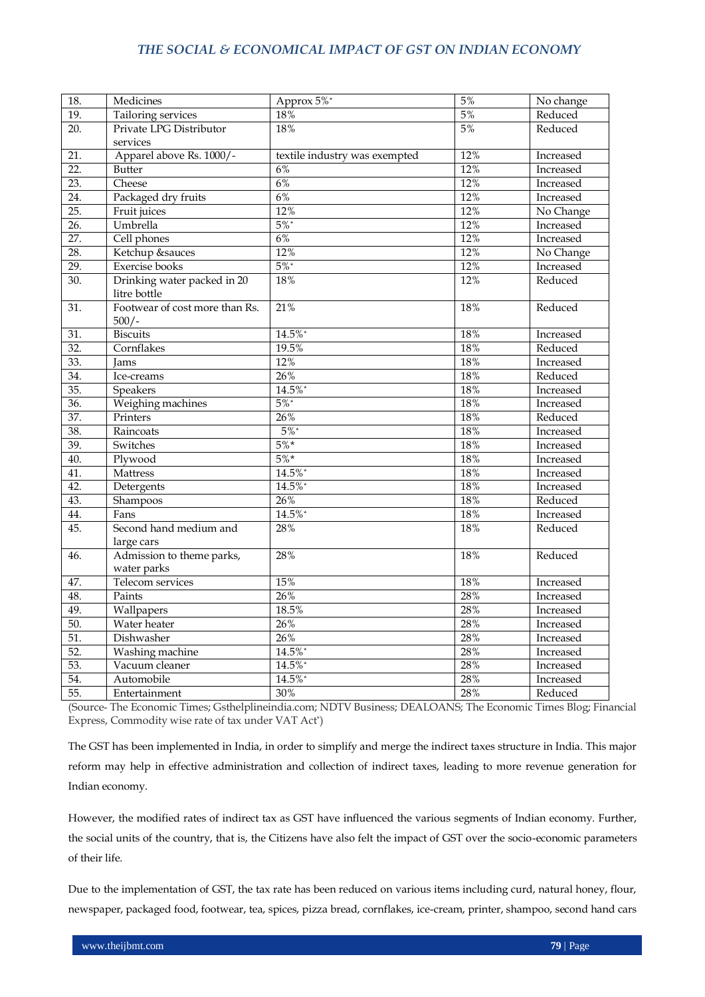| 18.               | Medicines                      | Approx 5%*                    | 5%  | No change |
|-------------------|--------------------------------|-------------------------------|-----|-----------|
| $\overline{19}$ . | Tailoring services             | 18%                           | 5%  | Reduced   |
| 20.               | Private LPG Distributor        | 18%                           | 5%  | Reduced   |
|                   | services                       |                               |     |           |
| 21.               | Apparel above Rs. 1000/-       | textile industry was exempted | 12% | Increased |
| $\overline{22}$ . | Butter                         | 6%                            | 12% | Increased |
| 23.               | Cheese                         | 6%                            | 12% | Increased |
| 24.               | Packaged dry fruits            | 6%                            | 12% | Increased |
| 25.               | Fruit juices                   | 12%                           | 12% | No Change |
| 26.               | Umbrella                       | $5\%$ *                       | 12% | Increased |
| 27.               | Cell phones                    | 6%                            | 12% | Increased |
| 28.               | Ketchup &sauces                | 12%                           | 12% | No Change |
| 29.               | <b>Exercise</b> books          | $5\%$ *                       | 12% | Increased |
| $\overline{30}$ . | Drinking water packed in 20    | 18%                           | 12% | Reduced   |
|                   | litre bottle                   |                               |     |           |
| 31.               | Footwear of cost more than Rs. | 21%                           | 18% | Reduced   |
|                   | $500/-$                        |                               |     |           |
| 31.               | <b>Biscuits</b>                | 14.5%*                        | 18% | Increased |
| $\overline{32}$ . | Cornflakes                     | 19.5%                         | 18% | Reduced   |
| 33.               | Jams                           | 12%                           | 18% | Increased |
| 34.               | Ice-creams                     | 26%                           | 18% | Reduced   |
| 35.               | Speakers                       | 14.5%*                        | 18% | Increased |
| 36.               | Weighing machines              | $5\%$ *                       | 18% | Increased |
| 37.               | Printers                       | 26%                           | 18% | Reduced   |
| 38.               | Raincoats                      | $5\%$                         | 18% | Increased |
| 39.               | Switches                       | $5\%*$                        | 18% | Increased |
| 40.               | Plywood                        | $5\%*$                        | 18% | Increased |
| 41.               | Mattress                       | 14.5%*                        | 18% | Increased |
| 42.               | Detergents                     | 14.5%*                        | 18% | Increased |
| 43.               | Shampoos                       | 26%                           | 18% | Reduced   |
| 44.               | Fans                           | 14.5%*                        | 18% | Increased |
| 45.               | Second hand medium and         | 28%                           | 18% | Reduced   |
|                   | large cars                     |                               |     |           |
| 46.               | Admission to theme parks,      | 28%                           | 18% | Reduced   |
|                   | water parks                    |                               |     |           |
| 47.               | Telecom services               | 15%                           | 18% | Increased |
| 48.               | Paints                         | 26%                           | 28% | Increased |
| 49.               | Wallpapers                     | 18.5%                         | 28% | Increased |
| 50.               | Water heater                   | 26%                           | 28% | Increased |
| 51.               | Dishwasher                     | 26%                           | 28% | Increased |
| $\overline{52}$ . | Washing machine                | 14.5%*                        | 28% | Increased |
| $\overline{53}$ . | Vacuum cleaner                 | 14.5%*                        | 28% | Increased |
| 54.               | Automobile                     | 14.5%*                        | 28% | Increased |
| $\overline{55}$ . | Entertainment                  | 30%                           | 28% | Reduced   |

(Source- The Economic Times; Gsthelplineindia.com; NDTV Business; DEALOANS; The Economic Times Blog; Financial Express, Commodity wise rate of tax under VAT Act\*)

The GST has been implemented in India, in order to simplify and merge the indirect taxes structure in India. This major reform may help in effective administration and collection of indirect taxes, leading to more revenue generation for Indian economy.

However, the modified rates of indirect tax as GST have influenced the various segments of Indian economy. Further, the social units of the country, that is, the Citizens have also felt the impact of GST over the socio-economic parameters of their life.

Due to the implementation of GST, the tax rate has been reduced on various items including curd, natural honey, flour, newspaper, packaged food, footwear, tea, spices, pizza bread, cornflakes, ice-cream, printer, shampoo, second hand cars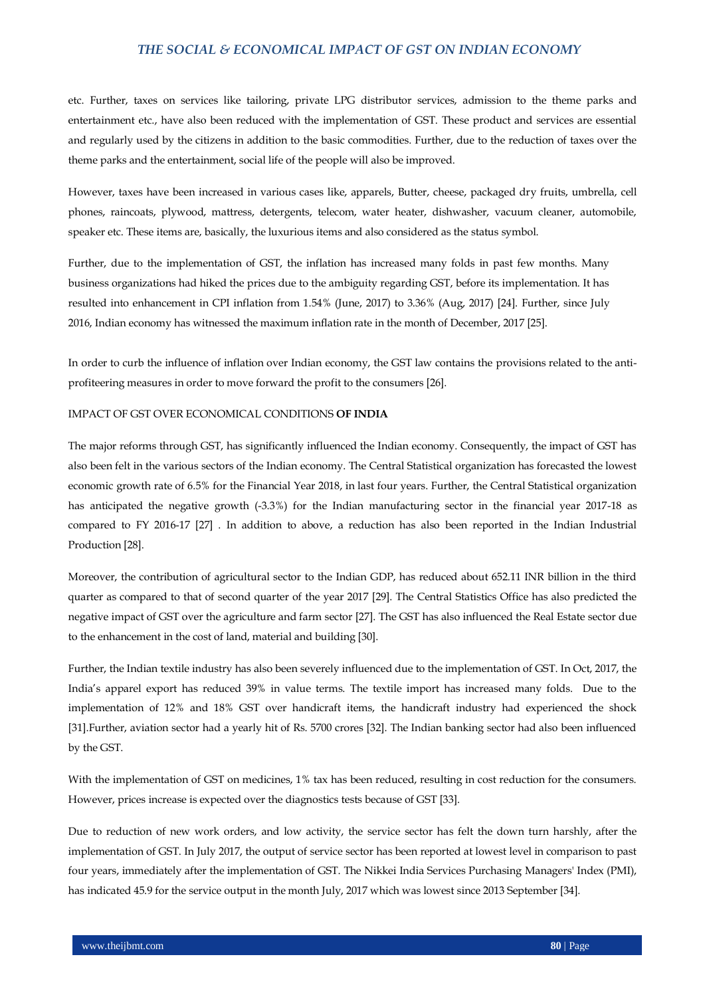etc. Further, taxes on services like tailoring, private LPG distributor services, admission to the theme parks and entertainment etc., have also been reduced with the implementation of GST. These product and services are essential and regularly used by the citizens in addition to the basic commodities. Further, due to the reduction of taxes over the theme parks and the entertainment, social life of the people will also be improved.

However, taxes have been increased in various cases like, apparels, Butter, cheese, packaged dry fruits, umbrella, cell phones, raincoats, plywood, mattress, detergents, telecom, water heater, dishwasher, vacuum cleaner, automobile, speaker etc. These items are, basically, the luxurious items and also considered as the status symbol.

Further, due to the implementation of GST, the inflation has increased many folds in past few months. Many business organizations had hiked the prices due to the ambiguity regarding GST, before its implementation. It has resulted into enhancement in CPI inflation from 1.54% (June, 2017) to 3.36% (Aug, 2017) [24]. Further, since July 2016, Indian economy has witnessed the maximum inflation rate in the month of December, 2017 [25].

In order to curb the influence of inflation over Indian economy, the GST law contains the provisions related to the antiprofiteering measures in order to move forward the profit to the consumers [26].

#### IMPACT OF GST OVER ECONOMICAL CONDITIONS **OF INDIA**

The major reforms through GST, has significantly influenced the Indian economy. Consequently, the impact of GST has also been felt in the various sectors of the Indian economy. The Central Statistical organization has forecasted the lowest economic growth rate of 6.5% for the Financial Year 2018, in last four years. Further, the Central Statistical organization has anticipated the negative growth (-3.3%) for the Indian manufacturing sector in the financial year 2017-18 as compared to FY 2016-17 [27] . In addition to above, a reduction has also been reported in the Indian Industrial Production [28].

Moreover, the contribution of agricultural sector to the Indian GDP, has reduced about 652.11 INR billion in the third quarter as compared to that of second quarter of the year 2017 [29]. The Central Statistics Office has also predicted the negative impact of GST over the agriculture and farm sector [27]. The GST has also influenced the Real Estate sector due to the enhancement in the cost of land, material and building [30].

Further, the Indian textile industry has also been severely influenced due to the implementation of GST. In Oct, 2017, the India's apparel export has reduced 39% in value terms. The textile import has increased many folds. Due to the implementation of 12% and 18% GST over handicraft items, the handicraft industry had experienced the shock [31].Further, aviation sector had a yearly hit of Rs. 5700 crores [32]. The Indian banking sector had also been influenced by the GST.

With the implementation of GST on medicines, 1% tax has been reduced, resulting in cost reduction for the consumers. However, prices increase is expected over the diagnostics tests because of GST [33].

Due to reduction of new work orders, and low activity, the service sector has felt the down turn harshly, after the implementation of GST. In July 2017, the output of service sector has been reported at lowest level in comparison to past four years, immediately after the implementation of GST. The Nikkei India Services Purchasing Managers' Index (PMI), has indicated 45.9 for the service output in the month July, 2017 which was lowest since 2013 September [34].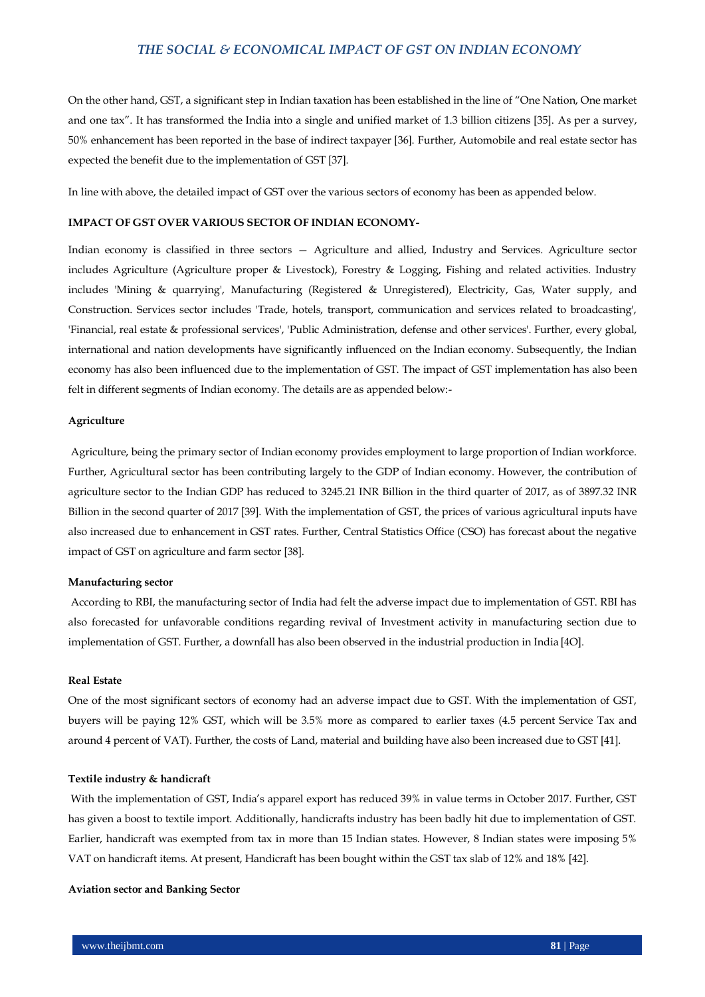On the other hand, GST, a significant step in Indian taxation has been established in the line of "One Nation, One market and one tax". It has transformed the India into a single and unified market of 1.3 billion citizens [35]. As per a survey, 50% enhancement has been reported in the base of indirect taxpayer [36]. Further, Automobile and real estate sector has expected the benefit due to the implementation of GST [37].

In line with above, the detailed impact of GST over the various sectors of economy has been as appended below.

### **IMPACT OF GST OVER VARIOUS SECTOR OF INDIAN ECONOMY-**

Indian economy is classified in three sectors — Agriculture and allied, Industry and Services. Agriculture sector includes Agriculture (Agriculture proper & Livestock), Forestry & Logging, Fishing and related activities. Industry includes 'Mining & quarrying', Manufacturing (Registered & Unregistered), Electricity, Gas, Water supply, and Construction. Services sector includes 'Trade, hotels, transport, communication and services related to broadcasting', 'Financial, real estate & professional services', 'Public Administration, defense and other services'. Further, every global, international and nation developments have significantly influenced on the Indian economy. Subsequently, the Indian economy has also been influenced due to the implementation of GST. The impact of GST implementation has also been felt in different segments of Indian economy. The details are as appended below:-

### **Agriculture**

Agriculture, being the primary sector of Indian economy provides employment to large proportion of Indian workforce. Further, Agricultural sector has been contributing largely to the GDP of Indian economy. However, the contribution of agriculture sector to the Indian GDP has reduced to 3245.21 INR Billion in the third quarter of 2017, as of 3897.32 INR Billion in the second quarter of 2017 [39]. With the implementation of GST, the prices of various agricultural inputs have also increased due to enhancement in GST rates. Further, Central Statistics Office (CSO) has forecast about the negative impact of GST on agriculture and farm sector [38].

#### **Manufacturing sector**

According to RBI, the manufacturing sector of India had felt the adverse impact due to implementation of GST. RBI has also forecasted for unfavorable conditions regarding revival of Investment activity in manufacturing section due to implementation of GST. Further, a downfall has also been observed in the industrial production in India [4O].

#### **Real Estate**

One of the most significant sectors of economy had an adverse impact due to GST. With the implementation of GST, buyers will be paying 12% GST, which will be 3.5% more as compared to earlier taxes (4.5 percent Service Tax and around 4 percent of VAT). Further, the costs of Land, material and building have also been increased due to GST [41].

#### **Textile industry & handicraft**

With the implementation of GST, India's apparel export has reduced 39% in value terms in October 2017. Further, GST has given a boost to textile import. Additionally, handicrafts industry has been badly hit due to implementation of GST. Earlier, handicraft was exempted from tax in more than 15 Indian states. However, 8 Indian states were imposing 5% VAT on handicraft items. At present, Handicraft has been bought within the GST tax slab of 12% and 18% [42].

#### **Aviation sector and Banking Sector**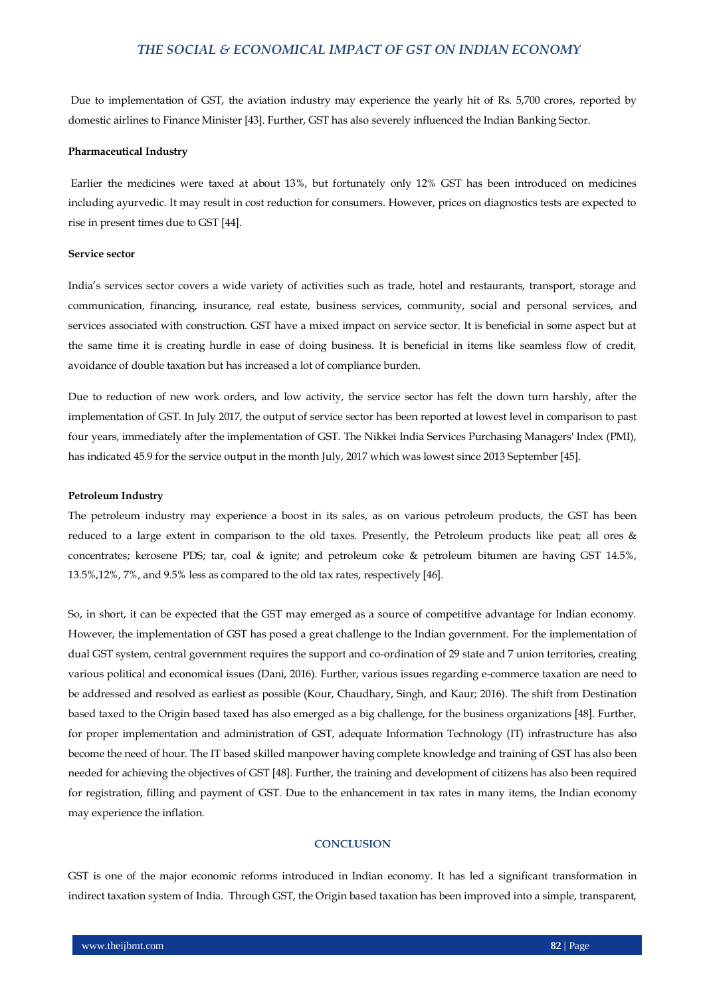Due to implementation of GST, the aviation industry may experience the yearly hit of Rs. 5,700 crores, reported by domestic airlines to Finance Minister [43]. Further, GST has also severely influenced the Indian Banking Sector.

#### **Pharmaceutical Industry**

Earlier the medicines were taxed at about 13%, but fortunately only 12% GST has been introduced on medicines including ayurvedic. It may result in cost reduction for consumers. However, prices on diagnostics tests are expected to rise in present times due to GST [44].

## **Service sector**

India's services sector covers a wide variety of activities such as trade, hotel and restaurants, transport, storage and communication, financing, insurance, real estate, business services, community, social and personal services, and services associated with construction. GST have a mixed impact on service sector. It is beneficial in some aspect but at the same time it is creating hurdle in ease of doing business. It is beneficial in items like seamless flow of credit, avoidance of double taxation but has increased a lot of compliance burden.

Due to reduction of new work orders, and low activity, the service sector has felt the down turn harshly, after the implementation of GST. In July 2017, the output of service sector has been reported at lowest level in comparison to past four years, immediately after the implementation of GST. The Nikkei India Services Purchasing Managers' Index (PMI), has indicated 45.9 for the service output in the month July, 2017 which was lowest since 2013 September [45].

#### **Petroleum Industry**

The petroleum industry may experience a boost in its sales, as on various petroleum products, the GST has been reduced to a large extent in comparison to the old taxes. Presently, the Petroleum products like peat; all ores & concentrates; kerosene PDS; tar, coal & ignite; and petroleum coke & petroleum bitumen are having GST 14.5%, 13.5%,12%, 7%, and 9.5% less as compared to the old tax rates, respectively [46].

So, in short, it can be expected that the GST may emerged as a source of competitive advantage for Indian economy. However, the implementation of GST has posed a great challenge to the Indian government. For the implementation of dual GST system, central government requires the support and co-ordination of 29 state and 7 union territories, creating various political and economical issues (Dani, 2016). Further, various issues regarding e-commerce taxation are need to be addressed and resolved as earliest as possible (Kour, Chaudhary, Singh, and Kaur; 2016). The shift from Destination based taxed to the Origin based taxed has also emerged as a big challenge, for the business organizations [48]. Further, for proper implementation and administration of GST, adequate Information Technology (IT) infrastructure has also become the need of hour. The IT based skilled manpower having complete knowledge and training of GST has also been needed for achieving the objectives of GST [48]. Further, the training and development of citizens has also been required for registration, filling and payment of GST. Due to the enhancement in tax rates in many items, the Indian economy may experience the inflation.

#### **CONCLUSION**

GST is one of the major economic reforms introduced in Indian economy. It has led a significant transformation in indirect taxation system of India. Through GST, the Origin based taxation has been improved into a simple, transparent,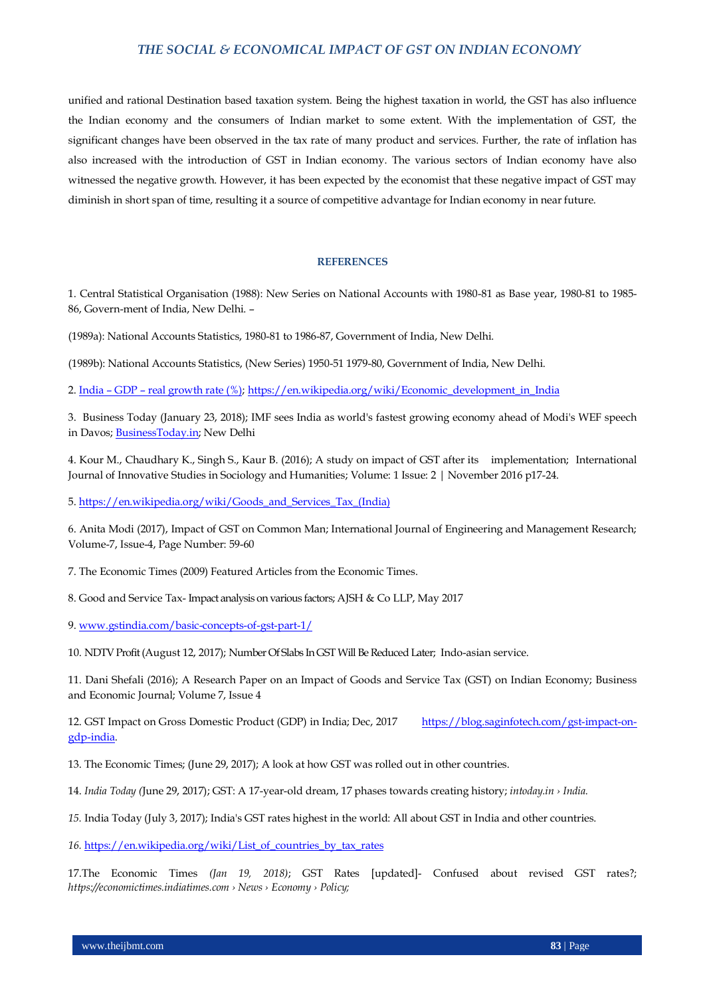unified and rational Destination based taxation system. Being the highest taxation in world, the GST has also influence the Indian economy and the consumers of Indian market to some extent. With the implementation of GST, the significant changes have been observed in the tax rate of many product and services. Further, the rate of inflation has also increased with the introduction of GST in Indian economy. The various sectors of Indian economy have also witnessed the negative growth. However, it has been expected by the economist that these negative impact of GST may diminish in short span of time, resulting it a source of competitive advantage for Indian economy in near future.

#### **REFERENCES**

1. Central Statistical Organisation (1988): New Series on National Accounts with 1980-81 as Base year, 1980-81 to 1985- 86, Govern-ment of India, New Delhi. –

(1989a): National Accounts Statistics, 1980-81 to 1986-87, Government of India, New Delhi.

(1989b): National Accounts Statistics, (New Series) 1950-51 1979-80, Government of India, New Delhi.

2. India – GDP – [real growth rate \(%\);](http://www.indexmundi.com/g/g.aspx?v=66&c=in&l=en) [https://en.wikipedia.org/wiki/Economic\\_development\\_in\\_India](https://en.wikipedia.org/wiki/Economic_development_in_India)

3. Business Today (January 23, 2018); IMF sees India as world's fastest growing economy ahead of Modi's WEF speech in Davos[; BusinessToday.in;](http://www.businesstoday.in/search.jsp?searchword=BusinessToday.in&searchtype=text&searchphrase=exact&search_type=author) New Delhi

4. Kour M., Chaudhary K., Singh S., Kaur B. (2016); A study on impact of GST after its implementation; International Journal of Innovative Studies in Sociology and Humanities; Volume: 1 Issue: 2 | November 2016 p17-24.

5[. https://en.wikipedia.org/wiki/Goods\\_and\\_Services\\_Tax\\_\(India\)](https://en.wikipedia.org/wiki/Goods_and_Services_Tax_(India))

6. Anita Modi (2017), Impact of GST on Common Man; International Journal of Engineering and Management Research; Volume-7, Issue-4, Page Number: 59-60

7. The Economic Times (2009) Featured Articles from the Economic Times.

8. Good and Service Tax- Impact analysis on various factors; AJSH & Co LLP, May 2017

9[. www.gstindia.com/basic-concepts-of-gst-part-1/](http://www.gstindia.com/basic-concepts-of-gst-part-1/)

10. NDTV Profit (August 12, 2017); Number Of Slabs In GST Will Be Reduced Later; Indo-asian service.

11. Dani Shefali (2016); A Research Paper on an Impact of Goods and Service Tax (GST) on Indian Economy; Business and Economic Journal; Volume 7, Issue 4

12. GST Impact on Gross Domestic Product (GDP) in India; Dec, 2017 [https://blog.saginfotech.com/gst-impact-on](https://blog.saginfotech.com/gst-impact-on-gdp-india)[gdp-india.](https://blog.saginfotech.com/gst-impact-on-gdp-india)

13. The Economic Times; (June 29, 2017); A look at how GST was rolled out in other countries.

14. *India Today (*June 29, 2017); GST: A 17-year-old dream, 17 phases towards creating history; *intoday.in › India.*

*15.* India Today (July 3, 2017); India's GST rates highest in the world: All about GST in India and other countries.

*16.* [https://en.wikipedia.org/wiki/List\\_of\\_countries\\_by\\_tax\\_rates](https://en.wikipedia.org/wiki/List_of_countries_by_tax_rates)

17.The Economic Times *(Jan 19, 2018)*; GST Rates [updated]- Confused about revised GST rates?; *https://economictimes.indiatimes.com › News › Economy › Policy;*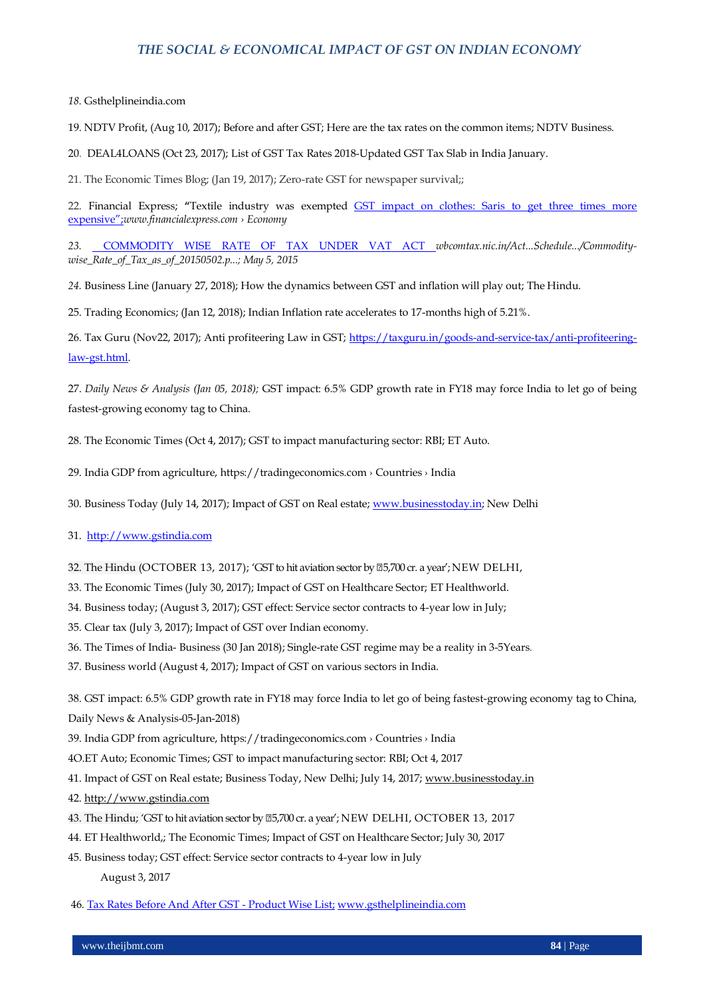#### *18.* Gsthelplineindia.com

19. NDTV Profit, (Aug 10, 2017); Before and after GST; Here are the tax rates on the common items; NDTV Business.

20. DEAL4LOANS (Oct 23, 2017); List of GST Tax Rates 2018-Updated GST Tax Slab in India January.

21. The Economic Times Blog; (Jan 19, 2017); Zero-rate GST for newspaper survival;;

22. Financial Express; **"**Textile industry was exempted [GST impact on clothes: Saris to get three times more](http://www.financialexpress.com/economy/gst-impact-on-clothes-saris-to-get-three-times-more-expensive-here-is-the-truth/765471/)  [expensive‖;](http://www.financialexpress.com/economy/gst-impact-on-clothes-saris-to-get-three-times-more-expensive-here-is-the-truth/765471/)*www.financialexpress.com › Economy*

23. [COMMODITY WISE RATE OF TAX UNDER VAT ACT](http://wbcomtax.nic.in/Act_Rule_Schedule_Form/Commodity-wise_Rate_of_Tax_as_of_20150502.pdf) *wbcomtax.nic.in/Act...Schedule.../Commoditywise\_Rate\_of\_Tax\_as\_of\_20150502.p...; May 5, 2015*

*24.* Business Line (January 27, 2018); How the dynamics between GST and inflation will play out; The Hindu.

25. Trading Economics; (Jan 12, 2018); Indian Inflation rate accelerates to 17-months high of 5.21%.

26. Tax Guru (Nov22, 2017); Anti profiteering Law in GST; [https://taxguru.in/goods-and-service-tax/anti-profiteering](https://taxguru.in/goods-and-service-tax/anti-profiteering-law-gst.html)[law-gst.html.](https://taxguru.in/goods-and-service-tax/anti-profiteering-law-gst.html)

27. *Daily News & Analysis (Jan 05, 2018);* GST impact: 6.5% GDP growth rate in FY18 may force India to let go of being fastest-growing economy tag to China.

28. The Economic Times (Oct 4, 2017); GST to impact manufacturing sector: RBI; ET Auto.

29. India GDP from agriculture, https://tradingeconomics.com › Countries › India

30. Business Today (July 14, 2017); Impact of GST on Real estate; [www.businesstoday.in;](http://www.businesstoday.in/) New Delhi

31. [http://www.gstindia.com](http://www.gstindia.com/)

32. The Hindu (OCTOBER 13, 2017); 'GST to hit aviation sector by  $\mathbb{Z}5,700$  cr. a year'; NEW DELHI,

- 33. The Economic Times (July 30, 2017); Impact of GST on Healthcare Sector; ET Healthworld.
- 34. Business today; (August 3, 2017); GST effect: Service sector contracts to 4-year low in July;
- 35. Clear tax (July 3, 2017); Impact of GST over Indian economy.
- 36. The Times of India- Business (30 Jan 2018); Single-rate GST regime may be a reality in 3-5Years.
- 37. Business world (August 4, 2017); Impact of GST on various sectors in India.

38. GST impact: 6.5% GDP growth rate in FY18 may force India to let go of being fastest-growing economy tag to China, Daily News & Analysis-05-Jan-2018)

- 39. India GDP from agriculture, https://tradingeconomics.com › Countries › India
- 4O.ET Auto; Economic Times; GST to impact manufacturing sector: RBI; Oct 4, 2017
- 41. Impact of GST on Real estate; Business Today, New Delhi; July 14, 2017; [www.businesstoday.in](http://www.businesstoday.in/)
- 42[. http://www.gstindia.com](http://www.gstindia.com/)
- 43. The Hindu; 'GST to hit aviation sector by  $\mathbb{Z}5,700$  cr. a year'; NEW DELHI, OCTOBER 13, 2017
- 44. ET Healthworld,; The Economic Times; Impact of GST on Healthcare Sector; July 30, 2017
- 45. Business today; GST effect: Service sector contracts to 4-year low in July August 3, 2017
- 46[. Tax Rates Before And After GST -](https://www.google.co.in/url?sa=t&rct=j&q=&esrc=s&source=web&cd=1&cad=rja&uact=8&ved=0ahUKEwilxezdruHYAhVoCsAKHQVBCkEQFggpMAA&url=http%3A%2F%2Fwww.gsthelplineindia.com%2Fblog%2F2017%2F07%2F12%2Ftax-rates-before-and-after-gst-product-wise-list%2F&usg=AOvVaw3VTByx8J_gMNc1t95_z5XN) Product Wise List; [www.gsthelplineindia.com](http://www.gsthelplineindia.com/)